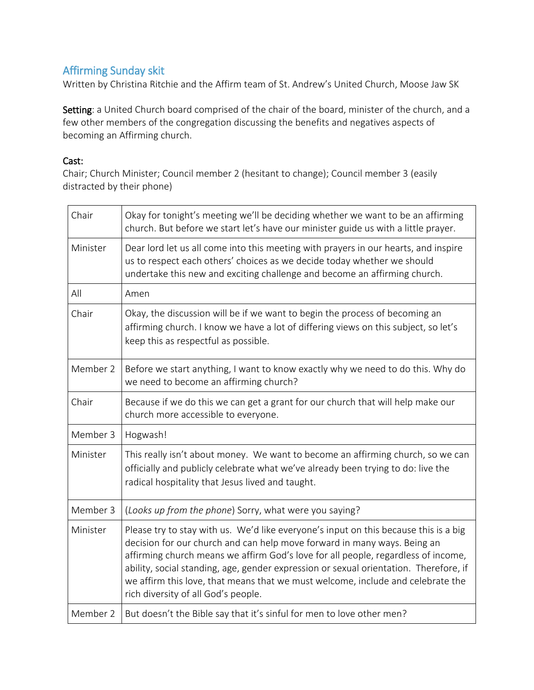## Affirming Sunday skit

Written by Christina Ritchie and the Affirm team of St. Andrew's United Church, Moose Jaw SK

Setting: a United Church board comprised of the chair of the board, minister of the church, and a few other members of the congregation discussing the benefits and negatives aspects of becoming an Affirming church.

## Cast:

Chair; Church Minister; Council member 2 (hesitant to change); Council member 3 (easily distracted by their phone)

| Chair    | Okay for tonight's meeting we'll be deciding whether we want to be an affirming<br>church. But before we start let's have our minister guide us with a little prayer.                                                                                                                                                                                                                                                                                                    |
|----------|--------------------------------------------------------------------------------------------------------------------------------------------------------------------------------------------------------------------------------------------------------------------------------------------------------------------------------------------------------------------------------------------------------------------------------------------------------------------------|
| Minister | Dear lord let us all come into this meeting with prayers in our hearts, and inspire<br>us to respect each others' choices as we decide today whether we should<br>undertake this new and exciting challenge and become an affirming church.                                                                                                                                                                                                                              |
| All      | Amen                                                                                                                                                                                                                                                                                                                                                                                                                                                                     |
| Chair    | Okay, the discussion will be if we want to begin the process of becoming an<br>affirming church. I know we have a lot of differing views on this subject, so let's<br>keep this as respectful as possible.                                                                                                                                                                                                                                                               |
| Member 2 | Before we start anything, I want to know exactly why we need to do this. Why do<br>we need to become an affirming church?                                                                                                                                                                                                                                                                                                                                                |
| Chair    | Because if we do this we can get a grant for our church that will help make our<br>church more accessible to everyone.                                                                                                                                                                                                                                                                                                                                                   |
| Member 3 | Hogwash!                                                                                                                                                                                                                                                                                                                                                                                                                                                                 |
| Minister | This really isn't about money. We want to become an affirming church, so we can<br>officially and publicly celebrate what we've already been trying to do: live the<br>radical hospitality that Jesus lived and taught.                                                                                                                                                                                                                                                  |
| Member 3 | (Looks up from the phone) Sorry, what were you saying?                                                                                                                                                                                                                                                                                                                                                                                                                   |
| Minister | Please try to stay with us. We'd like everyone's input on this because this is a big<br>decision for our church and can help move forward in many ways. Being an<br>affirming church means we affirm God's love for all people, regardless of income,<br>ability, social standing, age, gender expression or sexual orientation. Therefore, if<br>we affirm this love, that means that we must welcome, include and celebrate the<br>rich diversity of all God's people. |
| Member 2 | But doesn't the Bible say that it's sinful for men to love other men?                                                                                                                                                                                                                                                                                                                                                                                                    |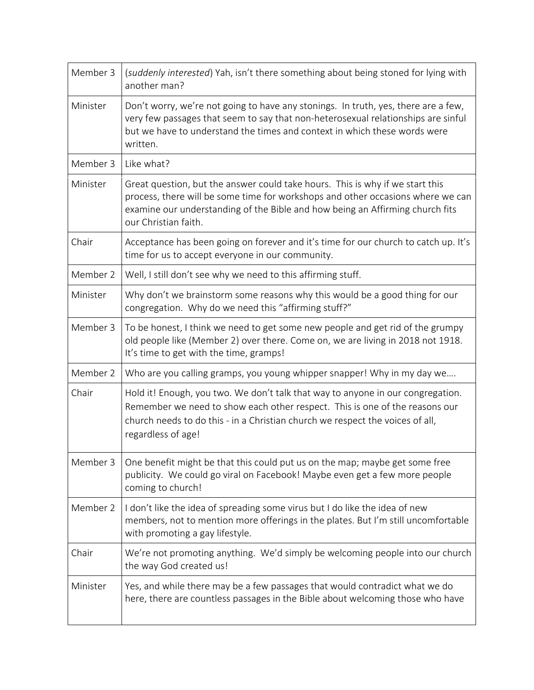| Member 3 | (suddenly interested) Yah, isn't there something about being stoned for lying with<br>another man?                                                                                                                                                                        |
|----------|---------------------------------------------------------------------------------------------------------------------------------------------------------------------------------------------------------------------------------------------------------------------------|
| Minister | Don't worry, we're not going to have any stonings. In truth, yes, there are a few,<br>very few passages that seem to say that non-heterosexual relationships are sinful<br>but we have to understand the times and context in which these words were<br>written.          |
| Member 3 | Like what?                                                                                                                                                                                                                                                                |
| Minister | Great question, but the answer could take hours. This is why if we start this<br>process, there will be some time for workshops and other occasions where we can<br>examine our understanding of the Bible and how being an Affirming church fits<br>our Christian faith. |
| Chair    | Acceptance has been going on forever and it's time for our church to catch up. It's<br>time for us to accept everyone in our community.                                                                                                                                   |
| Member 2 | Well, I still don't see why we need to this affirming stuff.                                                                                                                                                                                                              |
| Minister | Why don't we brainstorm some reasons why this would be a good thing for our<br>congregation. Why do we need this "affirming stuff?"                                                                                                                                       |
| Member 3 | To be honest, I think we need to get some new people and get rid of the grumpy<br>old people like (Member 2) over there. Come on, we are living in 2018 not 1918.<br>It's time to get with the time, gramps!                                                              |
| Member 2 | Who are you calling gramps, you young whipper snapper! Why in my day we                                                                                                                                                                                                   |
| Chair    | Hold it! Enough, you two. We don't talk that way to anyone in our congregation.<br>Remember we need to show each other respect. This is one of the reasons our<br>church needs to do this - in a Christian church we respect the voices of all,<br>regardless of age!     |
| Member 3 | One benefit might be that this could put us on the map; maybe get some free<br>publicity. We could go viral on Facebook! Maybe even get a few more people<br>coming to church!                                                                                            |
| Member 2 | I don't like the idea of spreading some virus but I do like the idea of new<br>members, not to mention more offerings in the plates. But I'm still uncomfortable<br>with promoting a gay lifestyle.                                                                       |
| Chair    | We're not promoting anything. We'd simply be welcoming people into our church<br>the way God created us!                                                                                                                                                                  |
| Minister | Yes, and while there may be a few passages that would contradict what we do<br>here, there are countless passages in the Bible about welcoming those who have                                                                                                             |